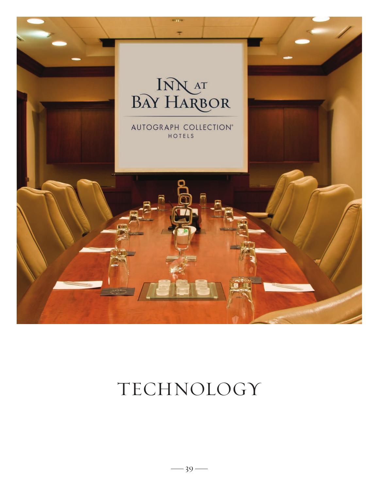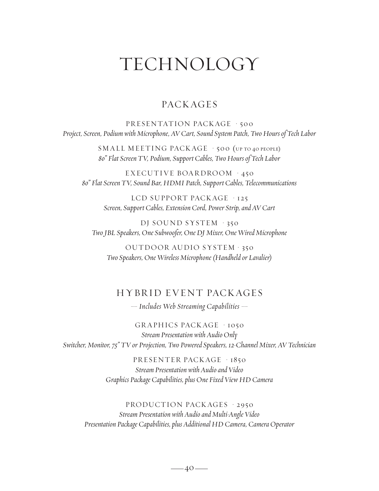#### **PACK AGES**

PRESENTATION PACKAGE · 500 *Project, Screen, Podium with Microphone, AV Cart, Sound System Patch, Two Hours of Tech Labor*

> SMALL MEETING PACK AGE • 500 (up to 40 people) *80" Flat Screen TV, Podium, Support Cables, Two Hours of Tech Labor*

EXECUTIVE BOARDROOM · 450 *80" Flat Screen TV, Sound Bar, HDMI Patch, Support Cables, Telecommunications*

> LCD SUPPORT PACKAGE · 125 *Screen, Support Cables, Extension Cord, Power Strip, and AV Cart*

DJ SOUND SYSTEM • 350 *Two JBL Speakers, One Subwoofer, One DJ Mixer, One Wired Microphone*

OUTDOOR AUDIO SYSTEM • 350 *Two Speakers, One Wireless Microphone (Handheld or Lavalier)*

#### HYBR ID EV ENT PACK AGES

*— Includes Web Streaming Capabilities —*

GRAPHICS PACKAGE · 1050 *Stream Presentation with Audio Only Switcher, Monitor, 75" TV or Projection, Two Powered Speakers, 12-Channel Mixer, AV Technician*

> PRESENTER PACKAGE · 1850 *Stream Presentation with Audio and Video Graphics Package Capabilities, plus One Fixed View HD Camera*

PRODUCTION PACKAGES · 2950 *Stream Presentation with Audio and Multi-Angle Video Presentation Package Capabilities, plus Additional HD Camera, Camera Operator*

 $-40-$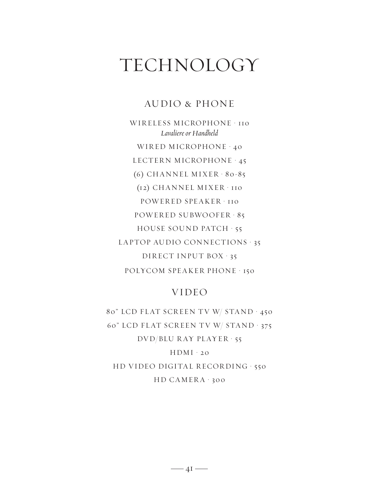### AUDIO & PHONE

WIRELESS MICROPHONE · 110 *Lavaliere or Handheld* WIRED MICROPHONE · 40 LECTERN MICROPHONE • 45 (6) CHANNEL MIXER • 80-85 (12) CHANNEL MIXER • 110 POWERED SPEAKER · 110 POWER ED SUBWOOFER • 85 HOUSE SOUND PATCH • 55 LAPTOP AUDIO CONNECTIONS · 35 DIRECT INPUT BOX · 35 POLYCOM SPEAKER PHONE · 150

#### VIDEO

80" LCD FLAT SCREEN TV W/ STAND · 450 60" LCD FLAT SCREEN TV W/ STAND · 375 DVD/BLU RAY PLAYER · 55  $HDMI \cdot 20$ HD VIDEO DIGITAL RECORDING · 550

 $HD$  CAMERA  $\cdot$  300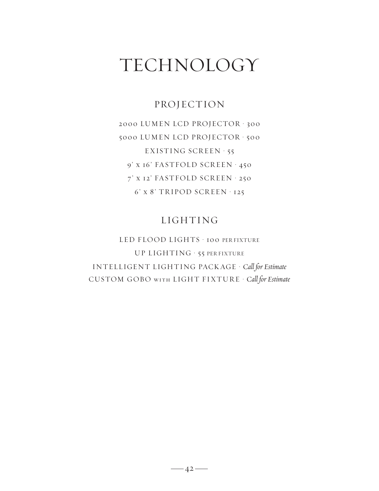### PROJECTION

2000 LUMEN LCD PROJECTOR • 300 5000 LUMEN LCD PROJECTOR • 500 EXISTING SCREEN • 55 9' x 16' FASTFOLD SCREEN · 450 7' X 12' FASTFOLD SCREEN · 250 6' x 8' TRIPOD SCREEN • 125

### LIGHTING

LED FLOOD LIGHTS · 100 PER FIXTURE UP LIGHTING • 55 PER FIXTURE INTELLIGENT LIGHTING PACK AGE • *Call for Estimate* CUSTOM GOBO with LIGHT FIXTUR E • *Call for Estimate*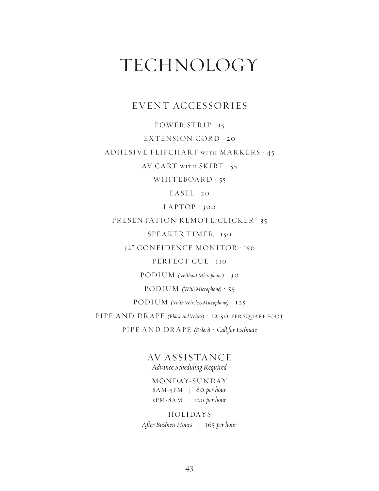#### EVENT ACCESSORIES

POWER STRIP · 15 EXTENSION CORD · 20 ADHESIVE FLIPCHART with MARKERS • 45 AV CA RT with SKIRT • 55

WHITEBOARD · 55

 $EASEL \cdot 20$ 

LAPTOP • 300

PRESENTATION REMOTE/CLICKER · 35

SPEAKER TIMER • 150

32" CONFIDENCE MONITOR • 150

PERFECT CUE · 110

PODIUM *(Without Microphone)* • 30

PODIUM *(With Microphone)* • 55

PODIUM *(With Wireless Microphone)* • 125

PIPE AND DR APE *(Black and White)* • 12.50 PER SQUARE FOOT

PIPE AND DR APE *(Colors)* • *Call for Estimate*

AV ASSISTA NCE *Advance Scheduling Required*

MONDAY-SUNDAY 8AM-5PM | 80 *per hour* 5PM-8AM | 120 *per hour*

HOLIDAYS *After Business Hours* | 165 *per hour*

 $-43-$